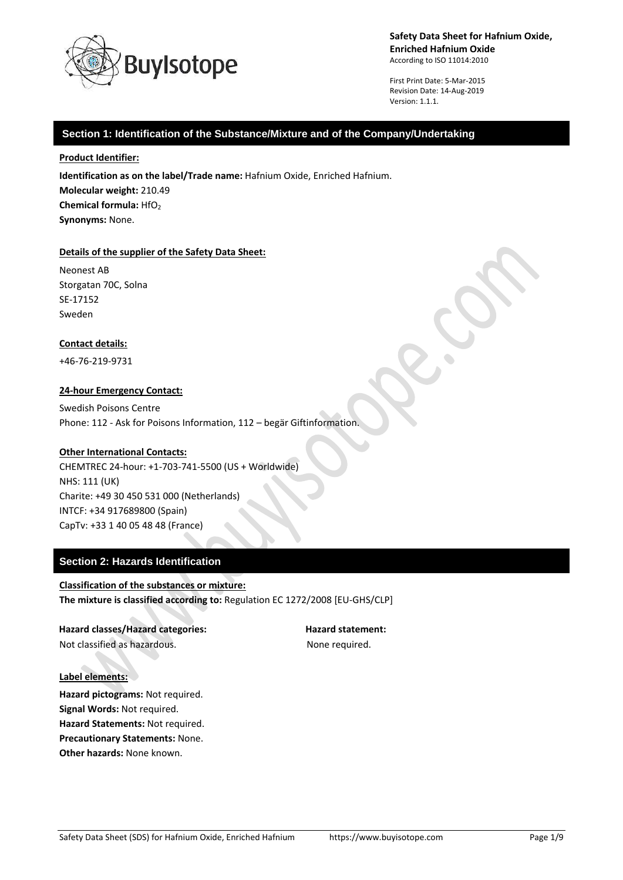

First Print Date: 5-Mar-2015 Revision Date: 14-Aug-2019 Version: 1.1.1.

## **Section 1: Identification of the Substance/Mixture and of the Company/Undertaking**

### **Product Identifier:**

**Identification as on the label/Trade name:** Hafnium Oxide, Enriched Hafnium. **Molecular weight:** 210.49 **Chemical formula: HfO<sub>2</sub> Synonyms:** None.

#### **Details of the supplier of the Safety Data Sheet:**

Neonest AB Storgatan 70C, Solna SE-17152 Sweden

### **Contact details:**

+46-76-219-9731

### **24-hour Emergency Contact:**

Swedish Poisons Centre Phone: 112 - Ask for Poisons Information, 112 – begär Giftinformation.

### **Other International Contacts:**

CHEMTREC 24-hour: +1-703-741-5500 (US + Worldwide) NHS: 111 (UK) Charite: +49 30 450 531 000 (Netherlands) INTCF: +34 917689800 (Spain) CapTv: +33 1 40 05 48 48 (France)

# **Section 2: Hazards Identification**

**Classification of the substances or mixture: The mixture is classified according to:** Regulation EC 1272/2008 [EU-GHS/CLP]

**Hazard classes/Hazard categories: Hazard statement:** Not classified as hazardous. The state of the None required.

#### **Label elements:**

**Hazard pictograms:** Not required. **Signal Words:** Not required. **Hazard Statements:** Not required. **Precautionary Statements:** None. **Other hazards:** None known.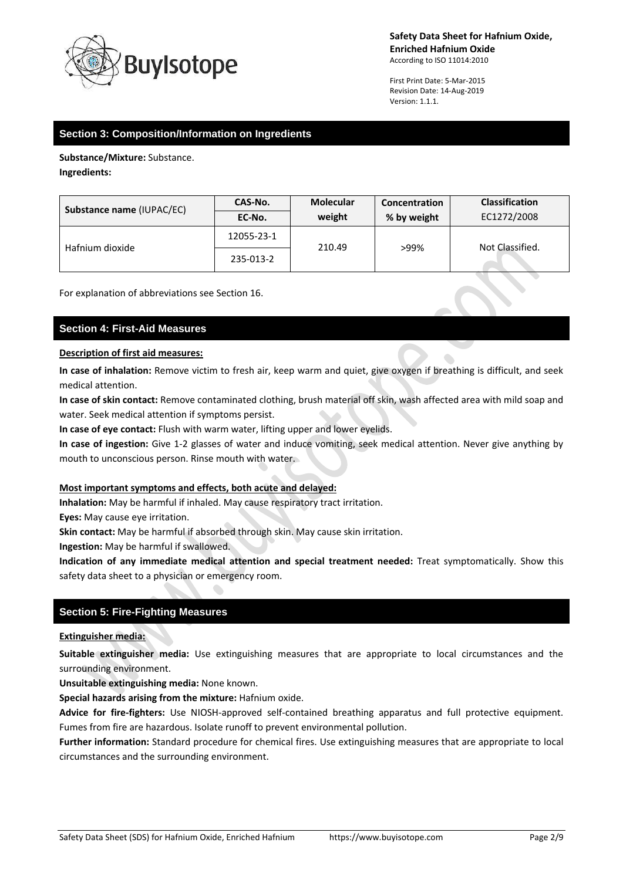

First Print Date: 5-Mar-2015 Revision Date: 14-Aug-2019 Version: 1.1.1.

# **Section 3: Composition/Information on Ingredients**

**Substance/Mixture:** Substance.

**Ingredients:**

| Substance name (IUPAC/EC) | CAS-No.    | <b>Molecular</b> | <b>Concentration</b> | <b>Classification</b> |
|---------------------------|------------|------------------|----------------------|-----------------------|
|                           | EC-No.     | weight           | % by weight          | EC1272/2008           |
| Hafnium dioxide           | 12055-23-1 | 210.49           | >99%                 | Not Classified.       |
|                           | 235-013-2  |                  |                      |                       |

For explanation of abbreviations see Section 16.

# **Section 4: First-Aid Measures**

### **Description of first aid measures:**

**In case of inhalation:** Remove victim to fresh air, keep warm and quiet, give oxygen if breathing is difficult, and seek medical attention.

**In case of skin contact:** Remove contaminated clothing, brush material off skin, wash affected area with mild soap and water. Seek medical attention if symptoms persist.

**In case of eye contact:** Flush with warm water, lifting upper and lower eyelids.

**In case of ingestion:** Give 1-2 glasses of water and induce vomiting, seek medical attention. Never give anything by mouth to unconscious person. Rinse mouth with water.

### **Most important symptoms and effects, both acute and delayed:**

**Inhalation:** May be harmful if inhaled. May cause respiratory tract irritation.

**Eyes:** May cause eye irritation.

**Skin contact:** May be harmful if absorbed through skin. May cause skin irritation.

**Ingestion:** May be harmful if swallowed.

**Indication of any immediate medical attention and special treatment needed:** Treat symptomatically. Show this safety data sheet to a physician or emergency room.

# **Section 5: Fire-Fighting Measures**

### **Extinguisher media:**

**Suitable extinguisher media:** Use extinguishing measures that are appropriate to local circumstances and the surrounding environment.

**Unsuitable extinguishing media:** None known.

**Special hazards arising from the mixture:** Hafnium oxide.

**Advice for fire-fighters:** Use NIOSH-approved self-contained breathing apparatus and full protective equipment. Fumes from fire are hazardous. Isolate runoff to prevent environmental pollution.

**Further information:** Standard procedure for chemical fires. Use extinguishing measures that are appropriate to local circumstances and the surrounding environment.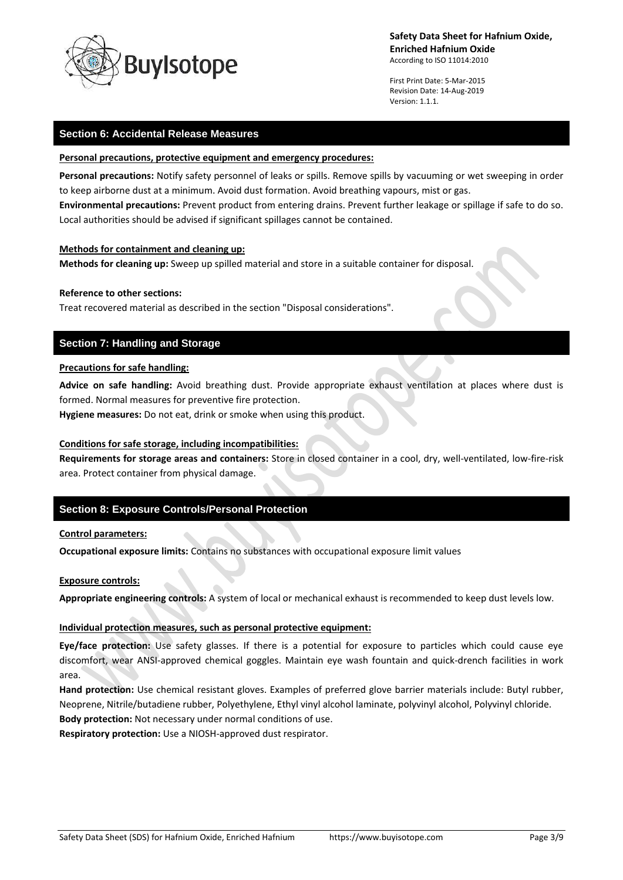

First Print Date: 5-Mar-2015 Revision Date: 14-Aug-2019 Version: 1.1.1.

## **Section 6: Accidental Release Measures**

#### **Personal precautions, protective equipment and emergency procedures:**

**Personal precautions:** Notify safety personnel of leaks or spills. Remove spills by vacuuming or wet sweeping in order to keep airborne dust at a minimum. Avoid dust formation. Avoid breathing vapours, mist or gas. **Environmental precautions:** Prevent product from entering drains. Prevent further leakage or spillage if safe to do so. Local authorities should be advised if significant spillages cannot be contained.

### **Methods for containment and cleaning up:**

**Methods for cleaning up:** Sweep up spilled material and store in a suitable container for disposal.

### **Reference to other sections:**

Treat recovered material as described in the section "Disposal considerations".

# **Section 7: Handling and Storage**

#### **Precautions for safe handling:**

**Advice on safe handling:** Avoid breathing dust. Provide appropriate exhaust ventilation at places where dust is formed. Normal measures for preventive fire protection.

**Hygiene measures:** Do not eat, drink or smoke when using this product.

### **Conditions for safe storage, including incompatibilities:**

**Requirements for storage areas and containers:** Store in closed container in a cool, dry, well-ventilated, low-fire-risk area. Protect container from physical damage.

# **Section 8: Exposure Controls/Personal Protection**

#### **Control parameters:**

**Occupational exposure limits:** Contains no substances with occupational exposure limit values

#### **Exposure controls:**

**Appropriate engineering controls:** A system of local or mechanical exhaust is recommended to keep dust levels low.

### **Individual protection measures, such as personal protective equipment:**

**Eye/face protection:** Use safety glasses. If there is a potential for exposure to particles which could cause eye discomfort, wear ANSI-approved chemical goggles. Maintain eye wash fountain and quick-drench facilities in work area.

**Hand protection:** Use chemical resistant gloves. Examples of preferred glove barrier materials include: Butyl rubber, Neoprene, Nitrile/butadiene rubber, Polyethylene, Ethyl vinyl alcohol laminate, polyvinyl alcohol, Polyvinyl chloride. **Body protection:** Not necessary under normal conditions of use.

**Respiratory protection:** Use a NIOSH-approved dust respirator.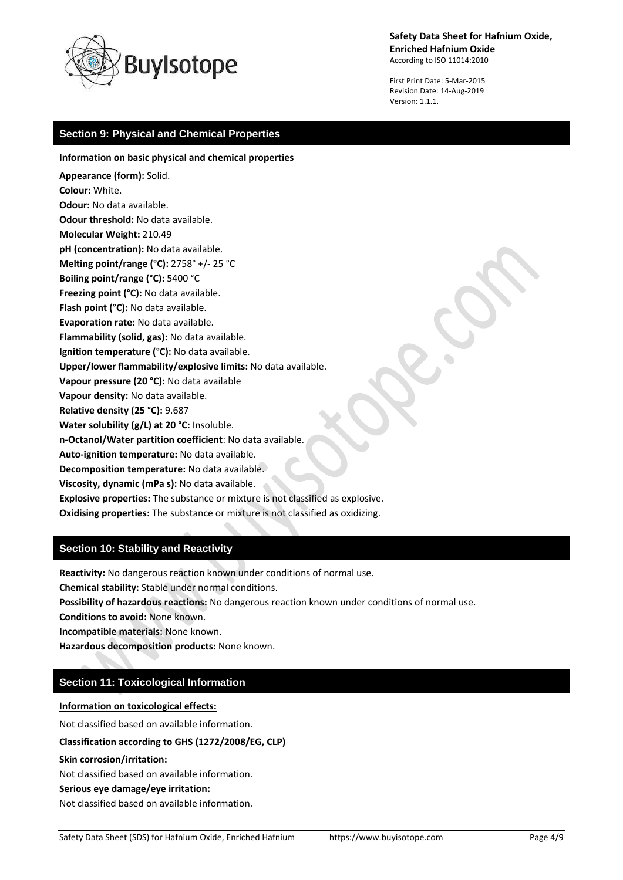

**Safety Data Sheet for Hafnium Oxide, Enriched Hafnium Oxide**

According to ISO 11014:2010

First Print Date: 5-Mar-2015 Revision Date: 14-Aug-2019 Version: 1.1.1.

# **Section 9: Physical and Chemical Properties**

#### **Information on basic physical and chemical properties**

- **Appearance (form):** Solid. **Colour:** White. **Odour:** No data available. **Odour threshold:** No data available. **Molecular Weight:** 210.49 **pH (concentration):** No data available. **Melting point/range (°C):** 2758° +/- 25 °C **Boiling point/range (°C):** 5400 °C **Freezing point (°C):** No data available. **Flash point (°C):** No data available. **Evaporation rate:** No data available. **Flammability (solid, gas):** No data available. **Ignition temperature (°C):** No data available. **Upper/lower flammability/explosive limits:** No data available. **Vapour pressure (20 °C):** No data available **Vapour density:** No data available. **Relative density (25 °C):** 9.687 **Water solubility (g/L) at 20 °C:** Insoluble. **n-Octanol/Water partition coefficient**: No data available. **Auto-ignition temperature:** No data available. **Decomposition temperature:** No data available. **Viscosity, dynamic (mPa s):** No data available. **Explosive properties:** The substance or mixture is not classified as explosive.
	- **Oxidising properties:** The substance or mixture is not classified as oxidizing.

# **Section 10: Stability and Reactivity**

**Reactivity:** No dangerous reaction known under conditions of normal use.

**Chemical stability:** Stable under normal conditions.

**Possibility of hazardous reactions:** No dangerous reaction known under conditions of normal use.

**Conditions to avoid:** None known.

**Incompatible materials:** None known.

**Hazardous decomposition products:** None known.

# **Section 11: Toxicological Information**

**Information on toxicological effects:**

Not classified based on available information.

**Classification according to GHS (1272/2008/EG, CLP)**

**Skin corrosion/irritation:**

Not classified based on available information.

#### **Serious eye damage/eye irritation:**

Not classified based on available information.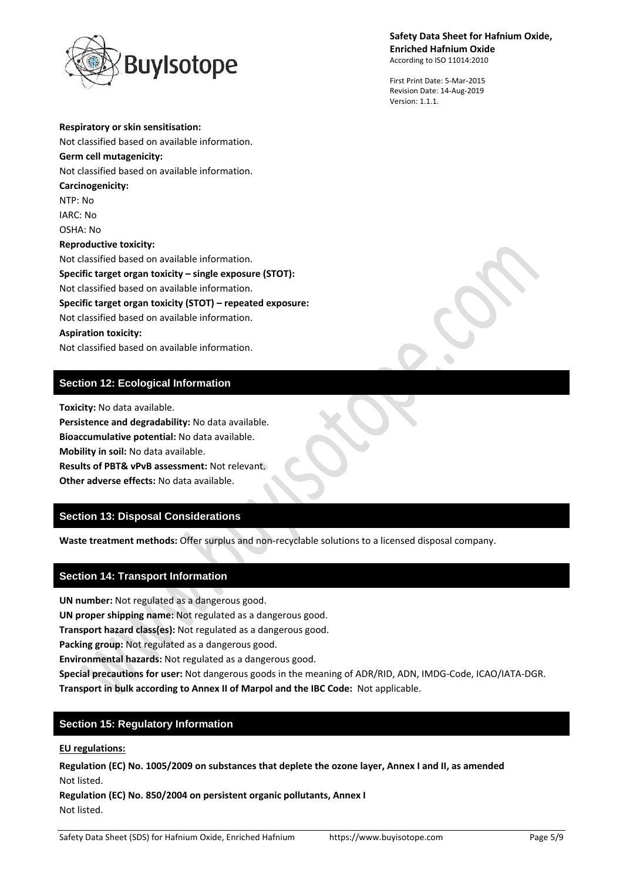

**Respiratory or skin sensitisation:**

**Safety Data Sheet for Hafnium Oxide, Enriched Hafnium Oxide** According to ISO 11014:2010

First Print Date: 5-Mar-2015 Revision Date: 14-Aug-2019 Version: 1.1.1.

Not classified based on available information. **Germ cell mutagenicity:** Not classified based on available information. **Carcinogenicity:** NTP: No IARC: No OSHA: No **Reproductive toxicity:** Not classified based on available information. **Specific target organ toxicity – single exposure (STOT):** Not classified based on available information. **Specific target organ toxicity (STOT) – repeated exposure:** Not classified based on available information. **Aspiration toxicity:** Not classified based on available information.

# **Section 12: Ecological Information**

**Toxicity:** No data available. **Persistence and degradability:** No data available. **Bioaccumulative potential:** No data available.

**Mobility in soil:** No data available.

**Results of PBT& vPvB assessment:** Not relevant.

**Other adverse effects:** No data available.

# **Section 13: Disposal Considerations**

**Waste treatment methods:** Offer surplus and non-recyclable solutions to a licensed disposal company.

# **Section 14: Transport Information**

**UN number:** Not regulated as a dangerous good.

**UN proper shipping name:** Not regulated as a dangerous good.

**Transport hazard class(es):** Not regulated as a dangerous good.

**Packing group:** Not regulated as a dangerous good.

**Environmental hazards:** Not regulated as a dangerous good.

**Special precautions for user:** Not dangerous goods in the meaning of ADR/RID, ADN, IMDG-Code, ICAO/IATA-DGR.

**Transport in bulk according to Annex II of Marpol and the IBC Code:** Not applicable.

# **Section 15: Regulatory Information**

# **EU regulations:**

**Regulation (EC) No. 1005/2009 on substances that deplete the ozone layer, Annex I and II, as amended** Not listed.

**Regulation (EC) No. 850/2004 on persistent organic pollutants, Annex I** Not listed.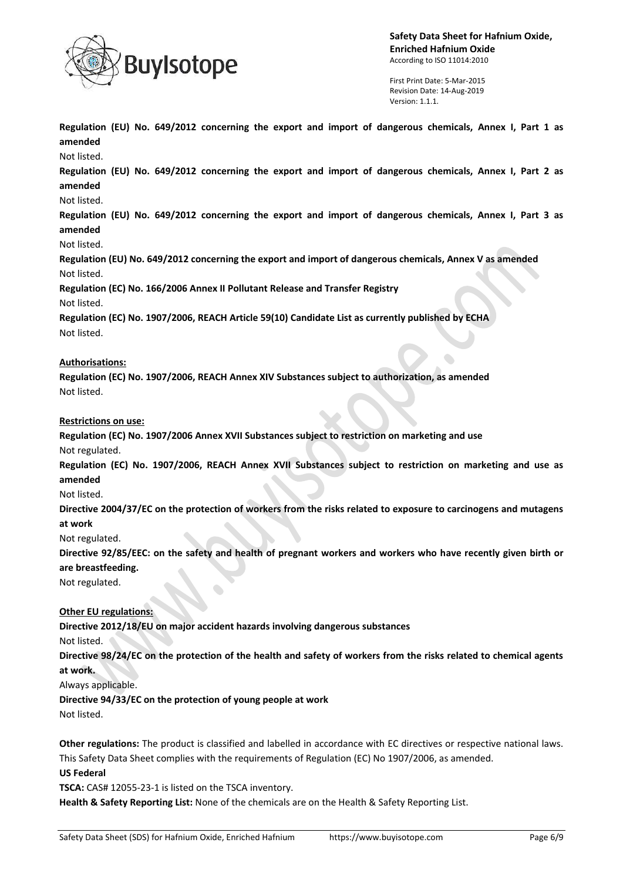

First Print Date: 5-Mar-2015 Revision Date: 14-Aug-2019 Version: 1.1.1.

**Regulation (EU) No. 649/2012 concerning the export and import of dangerous chemicals, Annex I, Part 1 as amended**

Not listed.

**Regulation (EU) No. 649/2012 concerning the export and import of dangerous chemicals, Annex I, Part 2 as amended**

### Not listed.

**Regulation (EU) No. 649/2012 concerning the export and import of dangerous chemicals, Annex I, Part 3 as amended**

Not listed.

**Regulation (EU) No. 649/2012 concerning the export and import of dangerous chemicals, Annex V as amended** Not listed.

**Regulation (EC) No. 166/2006 Annex II Pollutant Release and Transfer Registry**

Not listed.

**Regulation (EC) No. 1907/2006, REACH Article 59(10) Candidate List as currently published by ECHA** Not listed.

## **Authorisations:**

**Regulation (EC) No. 1907/2006, REACH Annex XIV Substances subject to authorization, as amended** Not listed.

**Restrictions on use:**

**Regulation (EC) No. 1907/2006 Annex XVII Substances subject to restriction on marketing and use** Not regulated.

**Regulation (EC) No. 1907/2006, REACH Annex XVII Substances subject to restriction on marketing and use as amended**

Not listed.

**Directive 2004/37/EC on the protection of workers from the risks related to exposure to carcinogens and mutagens at work**

Not regulated.

**Directive 92/85/EEC: on the safety and health of pregnant workers and workers who have recently given birth or are breastfeeding.**

Not regulated.

# **Other EU regulations:**

**Directive 2012/18/EU on major accident hazards involving dangerous substances**

Not listed.

**Directive 98/24/EC on the protection of the health and safety of workers from the risks related to chemical agents at work.**

Always applicable.

**Directive 94/33/EC on the protection of young people at work**

Not listed.

**Other regulations:** The product is classified and labelled in accordance with EC directives or respective national laws. This Safety Data Sheet complies with the requirements of Regulation (EC) No 1907/2006, as amended.

**US Federal**

**TSCA:** CAS# 12055-23-1 is listed on the TSCA inventory.

**Health & Safety Reporting List:** None of the chemicals are on the Health & Safety Reporting List.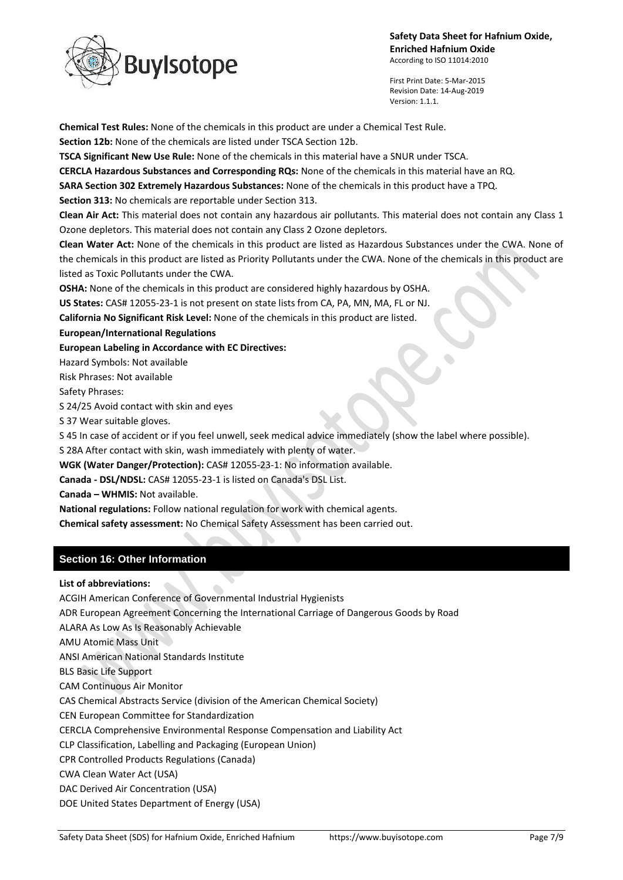

First Print Date: 5-Mar-2015 Revision Date: 14-Aug-2019 Version: 1.1.1.

**Chemical Test Rules:** None of the chemicals in this product are under a Chemical Test Rule.

**Section 12b:** None of the chemicals are listed under TSCA Section 12b.

**TSCA Significant New Use Rule:** None of the chemicals in this material have a SNUR under TSCA.

**CERCLA Hazardous Substances and Corresponding RQs:** None of the chemicals in this material have an RQ.

**SARA Section 302 Extremely Hazardous Substances:** None of the chemicals in this product have a TPQ.

**Section 313:** No chemicals are reportable under Section 313.

**Clean Air Act:** This material does not contain any hazardous air pollutants. This material does not contain any Class 1 Ozone depletors. This material does not contain any Class 2 Ozone depletors.

**Clean Water Act:** None of the chemicals in this product are listed as Hazardous Substances under the CWA. None of the chemicals in this product are listed as Priority Pollutants under the CWA. None of the chemicals in this product are listed as Toxic Pollutants under the CWA.

**OSHA:** None of the chemicals in this product are considered highly hazardous by OSHA.

**US States:** CAS# 12055-23-1 is not present on state lists from CA, PA, MN, MA, FL or NJ.

**California No Significant Risk Level:** None of the chemicals in this product are listed.

**European/International Regulations**

**European Labeling in Accordance with EC Directives:**

Hazard Symbols: Not available

Risk Phrases: Not available

Safety Phrases:

S 24/25 Avoid contact with skin and eyes

S 37 Wear suitable gloves.

S 45 In case of accident or if you feel unwell, seek medical advice immediately (show the label where possible).

S 28A After contact with skin, wash immediately with plenty of water.

**WGK (Water Danger/Protection):** CAS# 12055-23-1: No information available.

**Canada - DSL/NDSL:** CAS# 12055-23-1 is listed on Canada's DSL List.

**Canada – WHMIS:** Not available.

**National regulations:** Follow national regulation for work with chemical agents.

**Chemical safety assessment:** No Chemical Safety Assessment has been carried out.

# **Section 16: Other Information**

**List of abbreviations:**

ACGIH American Conference of Governmental Industrial Hygienists

ADR European Agreement Concerning the International Carriage of Dangerous Goods by Road

ALARA As Low As Is Reasonably Achievable

AMU Atomic Mass Unit

ANSI American National Standards Institute

BLS Basic Life Support

CAM Continuous Air Monitor

CAS Chemical Abstracts Service (division of the American Chemical Society)

CEN European Committee for Standardization

CERCLA Comprehensive Environmental Response Compensation and Liability Act

CLP Classification, Labelling and Packaging (European Union)

CPR Controlled Products Regulations (Canada)

CWA Clean Water Act (USA)

DAC Derived Air Concentration (USA)

DOE United States Department of Energy (USA)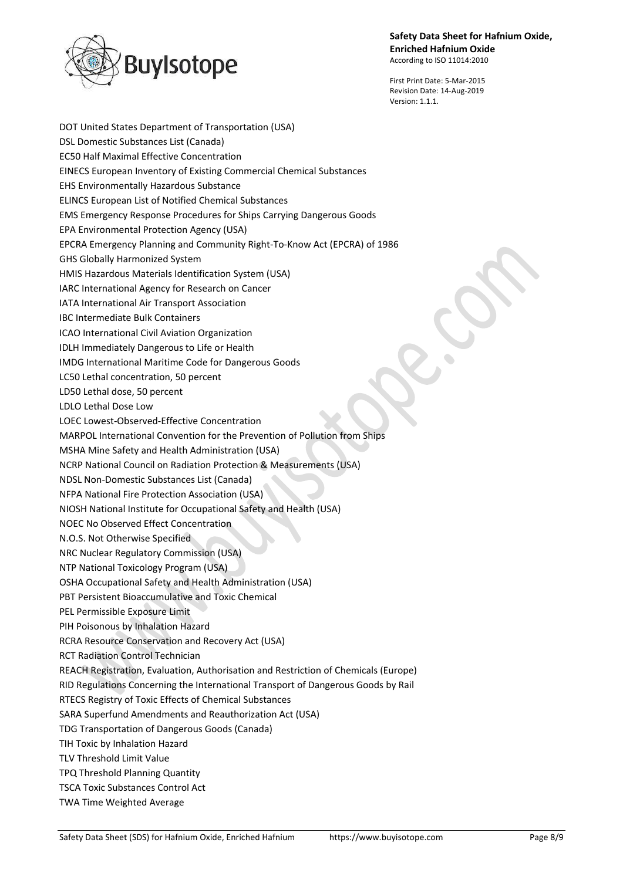

First Print Date: 5-Mar-2015 Revision Date: 14-Aug-2019 Version: 1.1.1.

DOT United States Department of Transportation (USA) DSL Domestic Substances List (Canada) EC50 Half Maximal Effective Concentration EINECS European Inventory of Existing Commercial Chemical Substances EHS Environmentally Hazardous Substance ELINCS European List of Notified Chemical Substances EMS Emergency Response Procedures for Ships Carrying Dangerous Goods EPA Environmental Protection Agency (USA) EPCRA Emergency Planning and Community Right-To-Know Act (EPCRA) of 1986 GHS Globally Harmonized System HMIS Hazardous Materials Identification System (USA) IARC International Agency for Research on Cancer IATA International Air Transport Association IBC Intermediate Bulk Containers ICAO International Civil Aviation Organization IDLH Immediately Dangerous to Life or Health IMDG International Maritime Code for Dangerous Goods LC50 Lethal concentration, 50 percent LD50 Lethal dose, 50 percent LDLO Lethal Dose Low LOEC Lowest-Observed-Effective Concentration MARPOL International Convention for the Prevention of Pollution from Ships MSHA Mine Safety and Health Administration (USA) NCRP National Council on Radiation Protection & Measurements (USA) NDSL Non-Domestic Substances List (Canada) NFPA National Fire Protection Association (USA) NIOSH National Institute for Occupational Safety and Health (USA) NOEC No Observed Effect Concentration N.O.S. Not Otherwise Specified NRC Nuclear Regulatory Commission (USA) NTP National Toxicology Program (USA) OSHA Occupational Safety and Health Administration (USA) PBT Persistent Bioaccumulative and Toxic Chemical PEL Permissible Exposure Limit PIH Poisonous by Inhalation Hazard RCRA Resource Conservation and Recovery Act (USA) RCT Radiation Control Technician REACH Registration, Evaluation, Authorisation and Restriction of Chemicals (Europe) RID Regulations Concerning the International Transport of Dangerous Goods by Rail RTECS Registry of Toxic Effects of Chemical Substances SARA Superfund Amendments and Reauthorization Act (USA) TDG Transportation of Dangerous Goods (Canada) TIH Toxic by Inhalation Hazard TLV Threshold Limit Value TPQ Threshold Planning Quantity TSCA Toxic Substances Control Act TWA Time Weighted Average